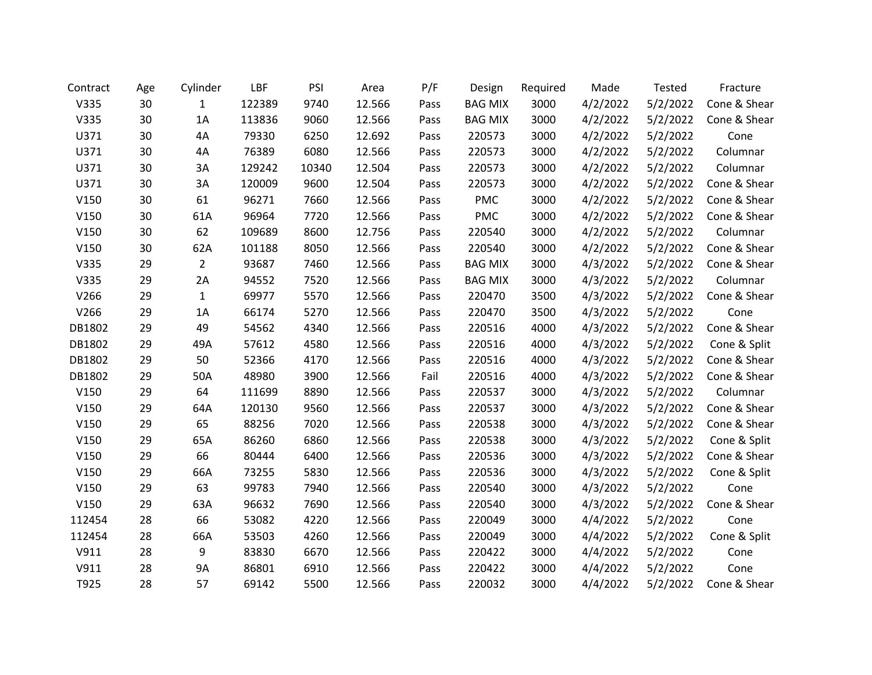| Contract | Age | Cylinder       | LBF    | PSI   | Area   | P/F  | Design         | Required | Made     | Tested   | Fracture     |
|----------|-----|----------------|--------|-------|--------|------|----------------|----------|----------|----------|--------------|
| V335     | 30  | $\mathbf{1}$   | 122389 | 9740  | 12.566 | Pass | <b>BAG MIX</b> | 3000     | 4/2/2022 | 5/2/2022 | Cone & Shear |
| V335     | 30  | 1A             | 113836 | 9060  | 12.566 | Pass | <b>BAG MIX</b> | 3000     | 4/2/2022 | 5/2/2022 | Cone & Shear |
| U371     | 30  | 4A             | 79330  | 6250  | 12.692 | Pass | 220573         | 3000     | 4/2/2022 | 5/2/2022 | Cone         |
| U371     | 30  | 4A             | 76389  | 6080  | 12.566 | Pass | 220573         | 3000     | 4/2/2022 | 5/2/2022 | Columnar     |
| U371     | 30  | 3A             | 129242 | 10340 | 12.504 | Pass | 220573         | 3000     | 4/2/2022 | 5/2/2022 | Columnar     |
| U371     | 30  | 3A             | 120009 | 9600  | 12.504 | Pass | 220573         | 3000     | 4/2/2022 | 5/2/2022 | Cone & Shear |
| V150     | 30  | 61             | 96271  | 7660  | 12.566 | Pass | PMC            | 3000     | 4/2/2022 | 5/2/2022 | Cone & Shear |
| V150     | 30  | 61A            | 96964  | 7720  | 12.566 | Pass | <b>PMC</b>     | 3000     | 4/2/2022 | 5/2/2022 | Cone & Shear |
| V150     | 30  | 62             | 109689 | 8600  | 12.756 | Pass | 220540         | 3000     | 4/2/2022 | 5/2/2022 | Columnar     |
| V150     | 30  | 62A            | 101188 | 8050  | 12.566 | Pass | 220540         | 3000     | 4/2/2022 | 5/2/2022 | Cone & Shear |
| V335     | 29  | $\overline{2}$ | 93687  | 7460  | 12.566 | Pass | <b>BAG MIX</b> | 3000     | 4/3/2022 | 5/2/2022 | Cone & Shear |
| V335     | 29  | 2A             | 94552  | 7520  | 12.566 | Pass | <b>BAG MIX</b> | 3000     | 4/3/2022 | 5/2/2022 | Columnar     |
| V266     | 29  | $\mathbf{1}$   | 69977  | 5570  | 12.566 | Pass | 220470         | 3500     | 4/3/2022 | 5/2/2022 | Cone & Shear |
| V266     | 29  | 1A             | 66174  | 5270  | 12.566 | Pass | 220470         | 3500     | 4/3/2022 | 5/2/2022 | Cone         |
| DB1802   | 29  | 49             | 54562  | 4340  | 12.566 | Pass | 220516         | 4000     | 4/3/2022 | 5/2/2022 | Cone & Shear |
| DB1802   | 29  | 49A            | 57612  | 4580  | 12.566 | Pass | 220516         | 4000     | 4/3/2022 | 5/2/2022 | Cone & Split |
| DB1802   | 29  | 50             | 52366  | 4170  | 12.566 | Pass | 220516         | 4000     | 4/3/2022 | 5/2/2022 | Cone & Shear |
| DB1802   | 29  | 50A            | 48980  | 3900  | 12.566 | Fail | 220516         | 4000     | 4/3/2022 | 5/2/2022 | Cone & Shear |
| V150     | 29  | 64             | 111699 | 8890  | 12.566 | Pass | 220537         | 3000     | 4/3/2022 | 5/2/2022 | Columnar     |
| V150     | 29  | 64A            | 120130 | 9560  | 12.566 | Pass | 220537         | 3000     | 4/3/2022 | 5/2/2022 | Cone & Shear |
| V150     | 29  | 65             | 88256  | 7020  | 12.566 | Pass | 220538         | 3000     | 4/3/2022 | 5/2/2022 | Cone & Shear |
| V150     | 29  | 65A            | 86260  | 6860  | 12.566 | Pass | 220538         | 3000     | 4/3/2022 | 5/2/2022 | Cone & Split |
| V150     | 29  | 66             | 80444  | 6400  | 12.566 | Pass | 220536         | 3000     | 4/3/2022 | 5/2/2022 | Cone & Shear |
| V150     | 29  | 66A            | 73255  | 5830  | 12.566 | Pass | 220536         | 3000     | 4/3/2022 | 5/2/2022 | Cone & Split |
| V150     | 29  | 63             | 99783  | 7940  | 12.566 | Pass | 220540         | 3000     | 4/3/2022 | 5/2/2022 | Cone         |
| V150     | 29  | 63A            | 96632  | 7690  | 12.566 | Pass | 220540         | 3000     | 4/3/2022 | 5/2/2022 | Cone & Shear |
| 112454   | 28  | 66             | 53082  | 4220  | 12.566 | Pass | 220049         | 3000     | 4/4/2022 | 5/2/2022 | Cone         |
| 112454   | 28  | 66A            | 53503  | 4260  | 12.566 | Pass | 220049         | 3000     | 4/4/2022 | 5/2/2022 | Cone & Split |
| V911     | 28  | 9              | 83830  | 6670  | 12.566 | Pass | 220422         | 3000     | 4/4/2022 | 5/2/2022 | Cone         |
| V911     | 28  | <b>9A</b>      | 86801  | 6910  | 12.566 | Pass | 220422         | 3000     | 4/4/2022 | 5/2/2022 | Cone         |
| T925     | 28  | 57             | 69142  | 5500  | 12.566 | Pass | 220032         | 3000     | 4/4/2022 | 5/2/2022 | Cone & Shear |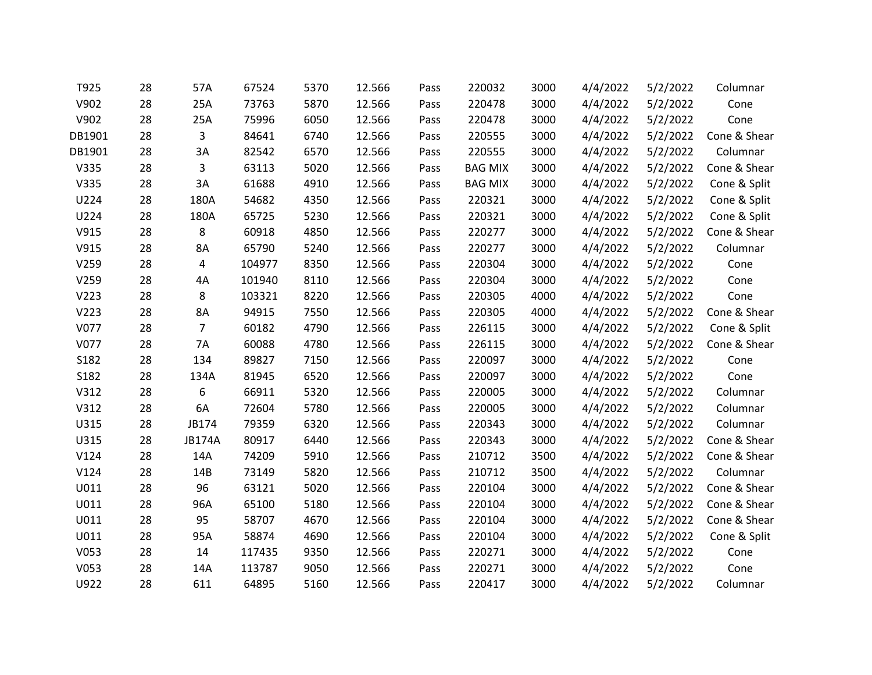| T925   | 28 | 57A           | 67524  | 5370 | 12.566 | Pass | 220032         | 3000 | 4/4/2022 | 5/2/2022 | Columnar     |
|--------|----|---------------|--------|------|--------|------|----------------|------|----------|----------|--------------|
| V902   | 28 | 25A           | 73763  | 5870 | 12.566 | Pass | 220478         | 3000 | 4/4/2022 | 5/2/2022 | Cone         |
| V902   | 28 | 25A           | 75996  | 6050 | 12.566 | Pass | 220478         | 3000 | 4/4/2022 | 5/2/2022 | Cone         |
| DB1901 | 28 | 3             | 84641  | 6740 | 12.566 | Pass | 220555         | 3000 | 4/4/2022 | 5/2/2022 | Cone & Shear |
| DB1901 | 28 | 3A            | 82542  | 6570 | 12.566 | Pass | 220555         | 3000 | 4/4/2022 | 5/2/2022 | Columnar     |
| V335   | 28 | 3             | 63113  | 5020 | 12.566 | Pass | <b>BAG MIX</b> | 3000 | 4/4/2022 | 5/2/2022 | Cone & Shear |
| V335   | 28 | 3A            | 61688  | 4910 | 12.566 | Pass | <b>BAG MIX</b> | 3000 | 4/4/2022 | 5/2/2022 | Cone & Split |
| U224   | 28 | 180A          | 54682  | 4350 | 12.566 | Pass | 220321         | 3000 | 4/4/2022 | 5/2/2022 | Cone & Split |
| U224   | 28 | 180A          | 65725  | 5230 | 12.566 | Pass | 220321         | 3000 | 4/4/2022 | 5/2/2022 | Cone & Split |
| V915   | 28 | 8             | 60918  | 4850 | 12.566 | Pass | 220277         | 3000 | 4/4/2022 | 5/2/2022 | Cone & Shear |
| V915   | 28 | 8A            | 65790  | 5240 | 12.566 | Pass | 220277         | 3000 | 4/4/2022 | 5/2/2022 | Columnar     |
| V259   | 28 | 4             | 104977 | 8350 | 12.566 | Pass | 220304         | 3000 | 4/4/2022 | 5/2/2022 | Cone         |
| V259   | 28 | 4A            | 101940 | 8110 | 12.566 | Pass | 220304         | 3000 | 4/4/2022 | 5/2/2022 | Cone         |
| V223   | 28 | 8             | 103321 | 8220 | 12.566 | Pass | 220305         | 4000 | 4/4/2022 | 5/2/2022 | Cone         |
| V223   | 28 | 8A            | 94915  | 7550 | 12.566 | Pass | 220305         | 4000 | 4/4/2022 | 5/2/2022 | Cone & Shear |
| V077   | 28 | 7             | 60182  | 4790 | 12.566 | Pass | 226115         | 3000 | 4/4/2022 | 5/2/2022 | Cone & Split |
| V077   | 28 | 7A            | 60088  | 4780 | 12.566 | Pass | 226115         | 3000 | 4/4/2022 | 5/2/2022 | Cone & Shear |
| S182   | 28 | 134           | 89827  | 7150 | 12.566 | Pass | 220097         | 3000 | 4/4/2022 | 5/2/2022 | Cone         |
| S182   | 28 | 134A          | 81945  | 6520 | 12.566 | Pass | 220097         | 3000 | 4/4/2022 | 5/2/2022 | Cone         |
| V312   | 28 | 6             | 66911  | 5320 | 12.566 | Pass | 220005         | 3000 | 4/4/2022 | 5/2/2022 | Columnar     |
| V312   | 28 | 6A            | 72604  | 5780 | 12.566 | Pass | 220005         | 3000 | 4/4/2022 | 5/2/2022 | Columnar     |
| U315   | 28 | JB174         | 79359  | 6320 | 12.566 | Pass | 220343         | 3000 | 4/4/2022 | 5/2/2022 | Columnar     |
| U315   | 28 | <b>JB174A</b> | 80917  | 6440 | 12.566 | Pass | 220343         | 3000 | 4/4/2022 | 5/2/2022 | Cone & Shear |
| V124   | 28 | 14A           | 74209  | 5910 | 12.566 | Pass | 210712         | 3500 | 4/4/2022 | 5/2/2022 | Cone & Shear |
| V124   | 28 | 14B           | 73149  | 5820 | 12.566 | Pass | 210712         | 3500 | 4/4/2022 | 5/2/2022 | Columnar     |
| U011   | 28 | 96            | 63121  | 5020 | 12.566 | Pass | 220104         | 3000 | 4/4/2022 | 5/2/2022 | Cone & Shear |
| U011   | 28 | 96A           | 65100  | 5180 | 12.566 | Pass | 220104         | 3000 | 4/4/2022 | 5/2/2022 | Cone & Shear |
| U011   | 28 | 95            | 58707  | 4670 | 12.566 | Pass | 220104         | 3000 | 4/4/2022 | 5/2/2022 | Cone & Shear |
| U011   | 28 | 95A           | 58874  | 4690 | 12.566 | Pass | 220104         | 3000 | 4/4/2022 | 5/2/2022 | Cone & Split |
| V053   | 28 | 14            | 117435 | 9350 | 12.566 | Pass | 220271         | 3000 | 4/4/2022 | 5/2/2022 | Cone         |
| V053   | 28 | 14A           | 113787 | 9050 | 12.566 | Pass | 220271         | 3000 | 4/4/2022 | 5/2/2022 | Cone         |
| U922   | 28 | 611           | 64895  | 5160 | 12.566 | Pass | 220417         | 3000 | 4/4/2022 | 5/2/2022 | Columnar     |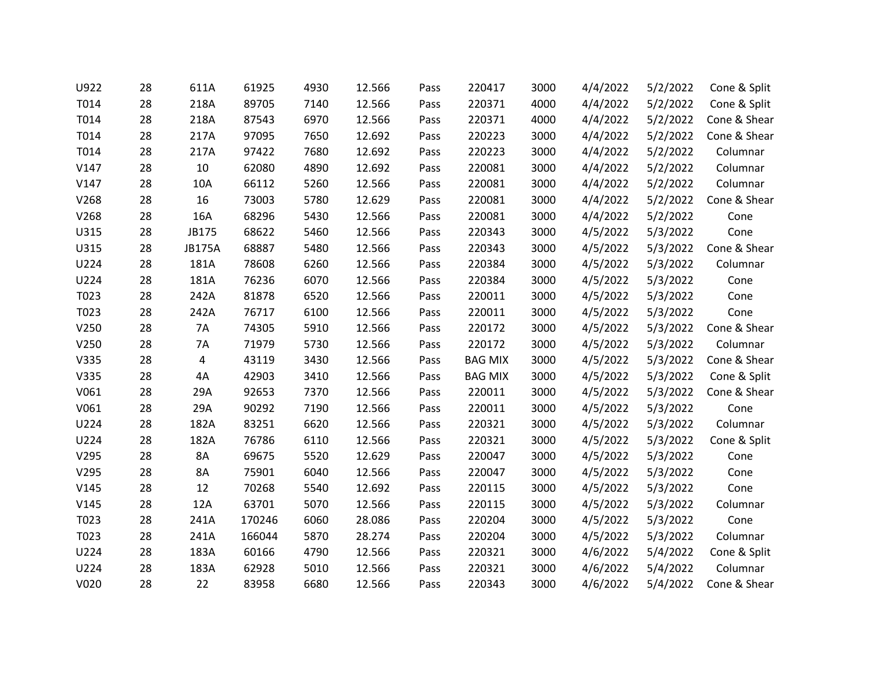| U922 | 28 | 611A          | 61925  | 4930 | 12.566 | Pass | 220417         | 3000 | 4/4/2022 | 5/2/2022 | Cone & Split |
|------|----|---------------|--------|------|--------|------|----------------|------|----------|----------|--------------|
| T014 | 28 | 218A          | 89705  | 7140 | 12.566 | Pass | 220371         | 4000 | 4/4/2022 | 5/2/2022 | Cone & Split |
| T014 | 28 | 218A          | 87543  | 6970 | 12.566 | Pass | 220371         | 4000 | 4/4/2022 | 5/2/2022 | Cone & Shear |
| T014 | 28 | 217A          | 97095  | 7650 | 12.692 | Pass | 220223         | 3000 | 4/4/2022 | 5/2/2022 | Cone & Shear |
| T014 | 28 | 217A          | 97422  | 7680 | 12.692 | Pass | 220223         | 3000 | 4/4/2022 | 5/2/2022 | Columnar     |
| V147 | 28 | 10            | 62080  | 4890 | 12.692 | Pass | 220081         | 3000 | 4/4/2022 | 5/2/2022 | Columnar     |
| V147 | 28 | 10A           | 66112  | 5260 | 12.566 | Pass | 220081         | 3000 | 4/4/2022 | 5/2/2022 | Columnar     |
| V268 | 28 | 16            | 73003  | 5780 | 12.629 | Pass | 220081         | 3000 | 4/4/2022 | 5/2/2022 | Cone & Shear |
| V268 | 28 | 16A           | 68296  | 5430 | 12.566 | Pass | 220081         | 3000 | 4/4/2022 | 5/2/2022 | Cone         |
| U315 | 28 | JB175         | 68622  | 5460 | 12.566 | Pass | 220343         | 3000 | 4/5/2022 | 5/3/2022 | Cone         |
| U315 | 28 | <b>JB175A</b> | 68887  | 5480 | 12.566 | Pass | 220343         | 3000 | 4/5/2022 | 5/3/2022 | Cone & Shear |
| U224 | 28 | 181A          | 78608  | 6260 | 12.566 | Pass | 220384         | 3000 | 4/5/2022 | 5/3/2022 | Columnar     |
| U224 | 28 | 181A          | 76236  | 6070 | 12.566 | Pass | 220384         | 3000 | 4/5/2022 | 5/3/2022 | Cone         |
| T023 | 28 | 242A          | 81878  | 6520 | 12.566 | Pass | 220011         | 3000 | 4/5/2022 | 5/3/2022 | Cone         |
| T023 | 28 | 242A          | 76717  | 6100 | 12.566 | Pass | 220011         | 3000 | 4/5/2022 | 5/3/2022 | Cone         |
| V250 | 28 | 7A            | 74305  | 5910 | 12.566 | Pass | 220172         | 3000 | 4/5/2022 | 5/3/2022 | Cone & Shear |
| V250 | 28 | 7A            | 71979  | 5730 | 12.566 | Pass | 220172         | 3000 | 4/5/2022 | 5/3/2022 | Columnar     |
| V335 | 28 | 4             | 43119  | 3430 | 12.566 | Pass | <b>BAG MIX</b> | 3000 | 4/5/2022 | 5/3/2022 | Cone & Shear |
| V335 | 28 | 4A            | 42903  | 3410 | 12.566 | Pass | <b>BAG MIX</b> | 3000 | 4/5/2022 | 5/3/2022 | Cone & Split |
| V061 | 28 | 29A           | 92653  | 7370 | 12.566 | Pass | 220011         | 3000 | 4/5/2022 | 5/3/2022 | Cone & Shear |
| V061 | 28 | 29A           | 90292  | 7190 | 12.566 | Pass | 220011         | 3000 | 4/5/2022 | 5/3/2022 | Cone         |
| U224 | 28 | 182A          | 83251  | 6620 | 12.566 | Pass | 220321         | 3000 | 4/5/2022 | 5/3/2022 | Columnar     |
| U224 | 28 | 182A          | 76786  | 6110 | 12.566 | Pass | 220321         | 3000 | 4/5/2022 | 5/3/2022 | Cone & Split |
| V295 | 28 | 8A            | 69675  | 5520 | 12.629 | Pass | 220047         | 3000 | 4/5/2022 | 5/3/2022 | Cone         |
| V295 | 28 | 8A            | 75901  | 6040 | 12.566 | Pass | 220047         | 3000 | 4/5/2022 | 5/3/2022 | Cone         |
| V145 | 28 | 12            | 70268  | 5540 | 12.692 | Pass | 220115         | 3000 | 4/5/2022 | 5/3/2022 | Cone         |
| V145 | 28 | 12A           | 63701  | 5070 | 12.566 | Pass | 220115         | 3000 | 4/5/2022 | 5/3/2022 | Columnar     |
| T023 | 28 | 241A          | 170246 | 6060 | 28.086 | Pass | 220204         | 3000 | 4/5/2022 | 5/3/2022 | Cone         |
| T023 | 28 | 241A          | 166044 | 5870 | 28.274 | Pass | 220204         | 3000 | 4/5/2022 | 5/3/2022 | Columnar     |
| U224 | 28 | 183A          | 60166  | 4790 | 12.566 | Pass | 220321         | 3000 | 4/6/2022 | 5/4/2022 | Cone & Split |
| U224 | 28 | 183A          | 62928  | 5010 | 12.566 | Pass | 220321         | 3000 | 4/6/2022 | 5/4/2022 | Columnar     |
| V020 | 28 | 22            | 83958  | 6680 | 12.566 | Pass | 220343         | 3000 | 4/6/2022 | 5/4/2022 | Cone & Shear |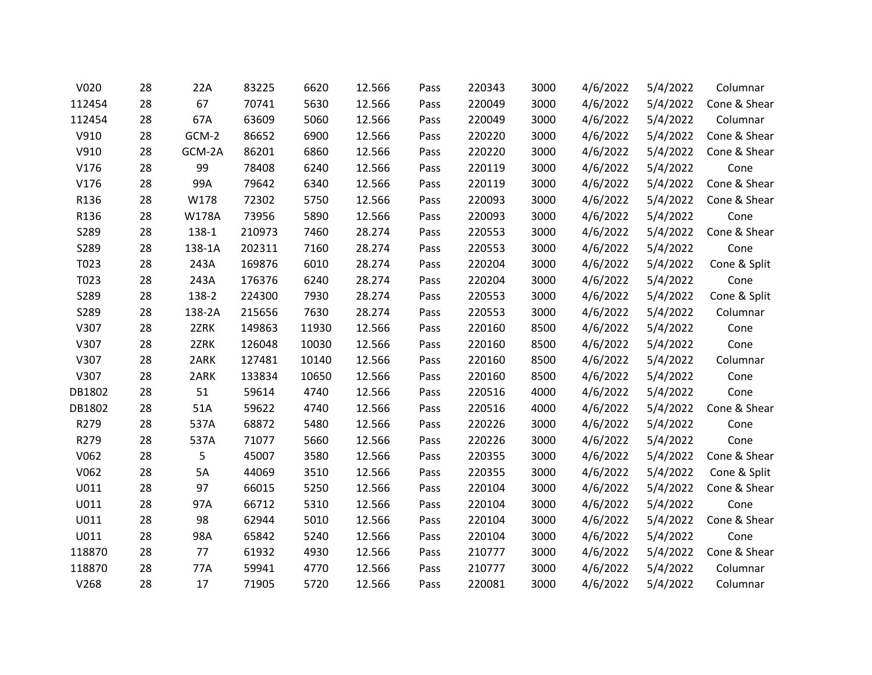| V020   | 28 | 22A    | 83225  | 6620  | 12.566 | Pass | 220343 | 3000 | 4/6/2022 | 5/4/2022 | Columnar     |
|--------|----|--------|--------|-------|--------|------|--------|------|----------|----------|--------------|
| 112454 | 28 | 67     | 70741  | 5630  | 12.566 | Pass | 220049 | 3000 | 4/6/2022 | 5/4/2022 | Cone & Shear |
| 112454 | 28 | 67A    | 63609  | 5060  | 12.566 | Pass | 220049 | 3000 | 4/6/2022 | 5/4/2022 | Columnar     |
| V910   | 28 | GCM-2  | 86652  | 6900  | 12.566 | Pass | 220220 | 3000 | 4/6/2022 | 5/4/2022 | Cone & Shear |
| V910   | 28 | GCM-2A | 86201  | 6860  | 12.566 | Pass | 220220 | 3000 | 4/6/2022 | 5/4/2022 | Cone & Shear |
| V176   | 28 | 99     | 78408  | 6240  | 12.566 | Pass | 220119 | 3000 | 4/6/2022 | 5/4/2022 | Cone         |
| V176   | 28 | 99A    | 79642  | 6340  | 12.566 | Pass | 220119 | 3000 | 4/6/2022 | 5/4/2022 | Cone & Shear |
| R136   | 28 | W178   | 72302  | 5750  | 12.566 | Pass | 220093 | 3000 | 4/6/2022 | 5/4/2022 | Cone & Shear |
| R136   | 28 | W178A  | 73956  | 5890  | 12.566 | Pass | 220093 | 3000 | 4/6/2022 | 5/4/2022 | Cone         |
| S289   | 28 | 138-1  | 210973 | 7460  | 28.274 | Pass | 220553 | 3000 | 4/6/2022 | 5/4/2022 | Cone & Shear |
| S289   | 28 | 138-1A | 202311 | 7160  | 28.274 | Pass | 220553 | 3000 | 4/6/2022 | 5/4/2022 | Cone         |
| T023   | 28 | 243A   | 169876 | 6010  | 28.274 | Pass | 220204 | 3000 | 4/6/2022 | 5/4/2022 | Cone & Split |
| T023   | 28 | 243A   | 176376 | 6240  | 28.274 | Pass | 220204 | 3000 | 4/6/2022 | 5/4/2022 | Cone         |
| S289   | 28 | 138-2  | 224300 | 7930  | 28.274 | Pass | 220553 | 3000 | 4/6/2022 | 5/4/2022 | Cone & Split |
| S289   | 28 | 138-2A | 215656 | 7630  | 28.274 | Pass | 220553 | 3000 | 4/6/2022 | 5/4/2022 | Columnar     |
| V307   | 28 | 2ZRK   | 149863 | 11930 | 12.566 | Pass | 220160 | 8500 | 4/6/2022 | 5/4/2022 | Cone         |
| V307   | 28 | 2ZRK   | 126048 | 10030 | 12.566 | Pass | 220160 | 8500 | 4/6/2022 | 5/4/2022 | Cone         |
| V307   | 28 | 2ARK   | 127481 | 10140 | 12.566 | Pass | 220160 | 8500 | 4/6/2022 | 5/4/2022 | Columnar     |
| V307   | 28 | 2ARK   | 133834 | 10650 | 12.566 | Pass | 220160 | 8500 | 4/6/2022 | 5/4/2022 | Cone         |
| DB1802 | 28 | 51     | 59614  | 4740  | 12.566 | Pass | 220516 | 4000 | 4/6/2022 | 5/4/2022 | Cone         |
| DB1802 | 28 | 51A    | 59622  | 4740  | 12.566 | Pass | 220516 | 4000 | 4/6/2022 | 5/4/2022 | Cone & Shear |
| R279   | 28 | 537A   | 68872  | 5480  | 12.566 | Pass | 220226 | 3000 | 4/6/2022 | 5/4/2022 | Cone         |
| R279   | 28 | 537A   | 71077  | 5660  | 12.566 | Pass | 220226 | 3000 | 4/6/2022 | 5/4/2022 | Cone         |
| V062   | 28 | 5      | 45007  | 3580  | 12.566 | Pass | 220355 | 3000 | 4/6/2022 | 5/4/2022 | Cone & Shear |
| V062   | 28 | 5A     | 44069  | 3510  | 12.566 | Pass | 220355 | 3000 | 4/6/2022 | 5/4/2022 | Cone & Split |
| U011   | 28 | 97     | 66015  | 5250  | 12.566 | Pass | 220104 | 3000 | 4/6/2022 | 5/4/2022 | Cone & Shear |
| U011   | 28 | 97A    | 66712  | 5310  | 12.566 | Pass | 220104 | 3000 | 4/6/2022 | 5/4/2022 | Cone         |
| U011   | 28 | 98     | 62944  | 5010  | 12.566 | Pass | 220104 | 3000 | 4/6/2022 | 5/4/2022 | Cone & Shear |
| U011   | 28 | 98A    | 65842  | 5240  | 12.566 | Pass | 220104 | 3000 | 4/6/2022 | 5/4/2022 | Cone         |
| 118870 | 28 | 77     | 61932  | 4930  | 12.566 | Pass | 210777 | 3000 | 4/6/2022 | 5/4/2022 | Cone & Shear |
| 118870 | 28 | 77A    | 59941  | 4770  | 12.566 | Pass | 210777 | 3000 | 4/6/2022 | 5/4/2022 | Columnar     |
| V268   | 28 | 17     | 71905  | 5720  | 12.566 | Pass | 220081 | 3000 | 4/6/2022 | 5/4/2022 | Columnar     |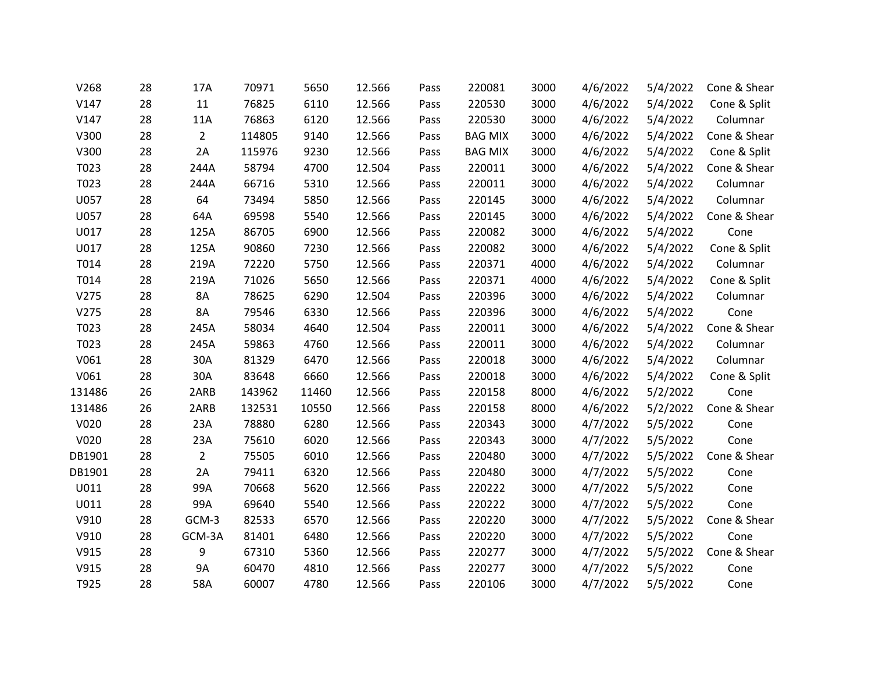| V268   | 28 | 17A            | 70971  | 5650  | 12.566 | Pass | 220081         | 3000 | 4/6/2022 | 5/4/2022 | Cone & Shear |
|--------|----|----------------|--------|-------|--------|------|----------------|------|----------|----------|--------------|
| V147   | 28 | 11             | 76825  | 6110  | 12.566 | Pass | 220530         | 3000 | 4/6/2022 | 5/4/2022 | Cone & Split |
| V147   | 28 | 11A            | 76863  | 6120  | 12.566 | Pass | 220530         | 3000 | 4/6/2022 | 5/4/2022 | Columnar     |
| V300   | 28 | $\overline{2}$ | 114805 | 9140  | 12.566 | Pass | <b>BAG MIX</b> | 3000 | 4/6/2022 | 5/4/2022 | Cone & Shear |
| V300   | 28 | 2A             | 115976 | 9230  | 12.566 | Pass | <b>BAG MIX</b> | 3000 | 4/6/2022 | 5/4/2022 | Cone & Split |
| T023   | 28 | 244A           | 58794  | 4700  | 12.504 | Pass | 220011         | 3000 | 4/6/2022 | 5/4/2022 | Cone & Shear |
| T023   | 28 | 244A           | 66716  | 5310  | 12.566 | Pass | 220011         | 3000 | 4/6/2022 | 5/4/2022 | Columnar     |
| U057   | 28 | 64             | 73494  | 5850  | 12.566 | Pass | 220145         | 3000 | 4/6/2022 | 5/4/2022 | Columnar     |
| U057   | 28 | 64A            | 69598  | 5540  | 12.566 | Pass | 220145         | 3000 | 4/6/2022 | 5/4/2022 | Cone & Shear |
| U017   | 28 | 125A           | 86705  | 6900  | 12.566 | Pass | 220082         | 3000 | 4/6/2022 | 5/4/2022 | Cone         |
| U017   | 28 | 125A           | 90860  | 7230  | 12.566 | Pass | 220082         | 3000 | 4/6/2022 | 5/4/2022 | Cone & Split |
| T014   | 28 | 219A           | 72220  | 5750  | 12.566 | Pass | 220371         | 4000 | 4/6/2022 | 5/4/2022 | Columnar     |
| T014   | 28 | 219A           | 71026  | 5650  | 12.566 | Pass | 220371         | 4000 | 4/6/2022 | 5/4/2022 | Cone & Split |
| V275   | 28 | 8A             | 78625  | 6290  | 12.504 | Pass | 220396         | 3000 | 4/6/2022 | 5/4/2022 | Columnar     |
| V275   | 28 | 8A             | 79546  | 6330  | 12.566 | Pass | 220396         | 3000 | 4/6/2022 | 5/4/2022 | Cone         |
| T023   | 28 | 245A           | 58034  | 4640  | 12.504 | Pass | 220011         | 3000 | 4/6/2022 | 5/4/2022 | Cone & Shear |
| T023   | 28 | 245A           | 59863  | 4760  | 12.566 | Pass | 220011         | 3000 | 4/6/2022 | 5/4/2022 | Columnar     |
| V061   | 28 | 30A            | 81329  | 6470  | 12.566 | Pass | 220018         | 3000 | 4/6/2022 | 5/4/2022 | Columnar     |
| V061   | 28 | 30A            | 83648  | 6660  | 12.566 | Pass | 220018         | 3000 | 4/6/2022 | 5/4/2022 | Cone & Split |
| 131486 | 26 | 2ARB           | 143962 | 11460 | 12.566 | Pass | 220158         | 8000 | 4/6/2022 | 5/2/2022 | Cone         |
| 131486 | 26 | 2ARB           | 132531 | 10550 | 12.566 | Pass | 220158         | 8000 | 4/6/2022 | 5/2/2022 | Cone & Shear |
| V020   | 28 | 23A            | 78880  | 6280  | 12.566 | Pass | 220343         | 3000 | 4/7/2022 | 5/5/2022 | Cone         |
| V020   | 28 | 23A            | 75610  | 6020  | 12.566 | Pass | 220343         | 3000 | 4/7/2022 | 5/5/2022 | Cone         |
| DB1901 | 28 | $\overline{2}$ | 75505  | 6010  | 12.566 | Pass | 220480         | 3000 | 4/7/2022 | 5/5/2022 | Cone & Shear |
| DB1901 | 28 | 2A             | 79411  | 6320  | 12.566 | Pass | 220480         | 3000 | 4/7/2022 | 5/5/2022 | Cone         |
| U011   | 28 | 99A            | 70668  | 5620  | 12.566 | Pass | 220222         | 3000 | 4/7/2022 | 5/5/2022 | Cone         |
| U011   | 28 | 99A            | 69640  | 5540  | 12.566 | Pass | 220222         | 3000 | 4/7/2022 | 5/5/2022 | Cone         |
| V910   | 28 | GCM-3          | 82533  | 6570  | 12.566 | Pass | 220220         | 3000 | 4/7/2022 | 5/5/2022 | Cone & Shear |
| V910   | 28 | GCM-3A         | 81401  | 6480  | 12.566 | Pass | 220220         | 3000 | 4/7/2022 | 5/5/2022 | Cone         |
| V915   | 28 | 9              | 67310  | 5360  | 12.566 | Pass | 220277         | 3000 | 4/7/2022 | 5/5/2022 | Cone & Shear |
| V915   | 28 | 9A             | 60470  | 4810  | 12.566 | Pass | 220277         | 3000 | 4/7/2022 | 5/5/2022 | Cone         |
| T925   | 28 | 58A            | 60007  | 4780  | 12.566 | Pass | 220106         | 3000 | 4/7/2022 | 5/5/2022 | Cone         |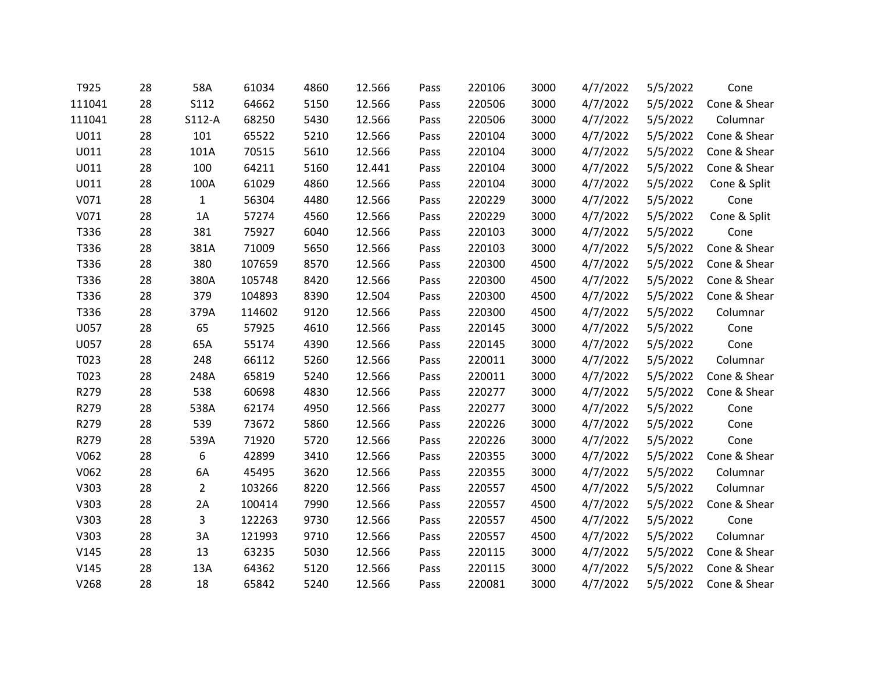| T925   | 28 | 58A            | 61034  | 4860 | 12.566 | Pass | 220106 | 3000 | 4/7/2022 | 5/5/2022 | Cone         |
|--------|----|----------------|--------|------|--------|------|--------|------|----------|----------|--------------|
| 111041 | 28 | S112           | 64662  | 5150 | 12.566 | Pass | 220506 | 3000 | 4/7/2022 | 5/5/2022 | Cone & Shear |
| 111041 | 28 | $S112-A$       | 68250  | 5430 | 12.566 | Pass | 220506 | 3000 | 4/7/2022 | 5/5/2022 | Columnar     |
| U011   | 28 | 101            | 65522  | 5210 | 12.566 | Pass | 220104 | 3000 | 4/7/2022 | 5/5/2022 | Cone & Shear |
| U011   | 28 | 101A           | 70515  | 5610 | 12.566 | Pass | 220104 | 3000 | 4/7/2022 | 5/5/2022 | Cone & Shear |
| U011   | 28 | 100            | 64211  | 5160 | 12.441 | Pass | 220104 | 3000 | 4/7/2022 | 5/5/2022 | Cone & Shear |
| U011   | 28 | 100A           | 61029  | 4860 | 12.566 | Pass | 220104 | 3000 | 4/7/2022 | 5/5/2022 | Cone & Split |
| V071   | 28 | $\mathbf{1}$   | 56304  | 4480 | 12.566 | Pass | 220229 | 3000 | 4/7/2022 | 5/5/2022 | Cone         |
| V071   | 28 | 1A             | 57274  | 4560 | 12.566 | Pass | 220229 | 3000 | 4/7/2022 | 5/5/2022 | Cone & Split |
| T336   | 28 | 381            | 75927  | 6040 | 12.566 | Pass | 220103 | 3000 | 4/7/2022 | 5/5/2022 | Cone         |
| T336   | 28 | 381A           | 71009  | 5650 | 12.566 | Pass | 220103 | 3000 | 4/7/2022 | 5/5/2022 | Cone & Shear |
| T336   | 28 | 380            | 107659 | 8570 | 12.566 | Pass | 220300 | 4500 | 4/7/2022 | 5/5/2022 | Cone & Shear |
| T336   | 28 | 380A           | 105748 | 8420 | 12.566 | Pass | 220300 | 4500 | 4/7/2022 | 5/5/2022 | Cone & Shear |
| T336   | 28 | 379            | 104893 | 8390 | 12.504 | Pass | 220300 | 4500 | 4/7/2022 | 5/5/2022 | Cone & Shear |
| T336   | 28 | 379A           | 114602 | 9120 | 12.566 | Pass | 220300 | 4500 | 4/7/2022 | 5/5/2022 | Columnar     |
| U057   | 28 | 65             | 57925  | 4610 | 12.566 | Pass | 220145 | 3000 | 4/7/2022 | 5/5/2022 | Cone         |
| U057   | 28 | 65A            | 55174  | 4390 | 12.566 | Pass | 220145 | 3000 | 4/7/2022 | 5/5/2022 | Cone         |
| T023   | 28 | 248            | 66112  | 5260 | 12.566 | Pass | 220011 | 3000 | 4/7/2022 | 5/5/2022 | Columnar     |
| T023   | 28 | 248A           | 65819  | 5240 | 12.566 | Pass | 220011 | 3000 | 4/7/2022 | 5/5/2022 | Cone & Shear |
| R279   | 28 | 538            | 60698  | 4830 | 12.566 | Pass | 220277 | 3000 | 4/7/2022 | 5/5/2022 | Cone & Shear |
| R279   | 28 | 538A           | 62174  | 4950 | 12.566 | Pass | 220277 | 3000 | 4/7/2022 | 5/5/2022 | Cone         |
| R279   | 28 | 539            | 73672  | 5860 | 12.566 | Pass | 220226 | 3000 | 4/7/2022 | 5/5/2022 | Cone         |
| R279   | 28 | 539A           | 71920  | 5720 | 12.566 | Pass | 220226 | 3000 | 4/7/2022 | 5/5/2022 | Cone         |
| V062   | 28 | 6              | 42899  | 3410 | 12.566 | Pass | 220355 | 3000 | 4/7/2022 | 5/5/2022 | Cone & Shear |
| V062   | 28 | 6A             | 45495  | 3620 | 12.566 | Pass | 220355 | 3000 | 4/7/2022 | 5/5/2022 | Columnar     |
| V303   | 28 | $\overline{2}$ | 103266 | 8220 | 12.566 | Pass | 220557 | 4500 | 4/7/2022 | 5/5/2022 | Columnar     |
| V303   | 28 | 2A             | 100414 | 7990 | 12.566 | Pass | 220557 | 4500 | 4/7/2022 | 5/5/2022 | Cone & Shear |
| V303   | 28 | 3              | 122263 | 9730 | 12.566 | Pass | 220557 | 4500 | 4/7/2022 | 5/5/2022 | Cone         |
| V303   | 28 | 3A             | 121993 | 9710 | 12.566 | Pass | 220557 | 4500 | 4/7/2022 | 5/5/2022 | Columnar     |
| V145   | 28 | 13             | 63235  | 5030 | 12.566 | Pass | 220115 | 3000 | 4/7/2022 | 5/5/2022 | Cone & Shear |
| V145   | 28 | 13A            | 64362  | 5120 | 12.566 | Pass | 220115 | 3000 | 4/7/2022 | 5/5/2022 | Cone & Shear |
| V268   | 28 | 18             | 65842  | 5240 | 12.566 | Pass | 220081 | 3000 | 4/7/2022 | 5/5/2022 | Cone & Shear |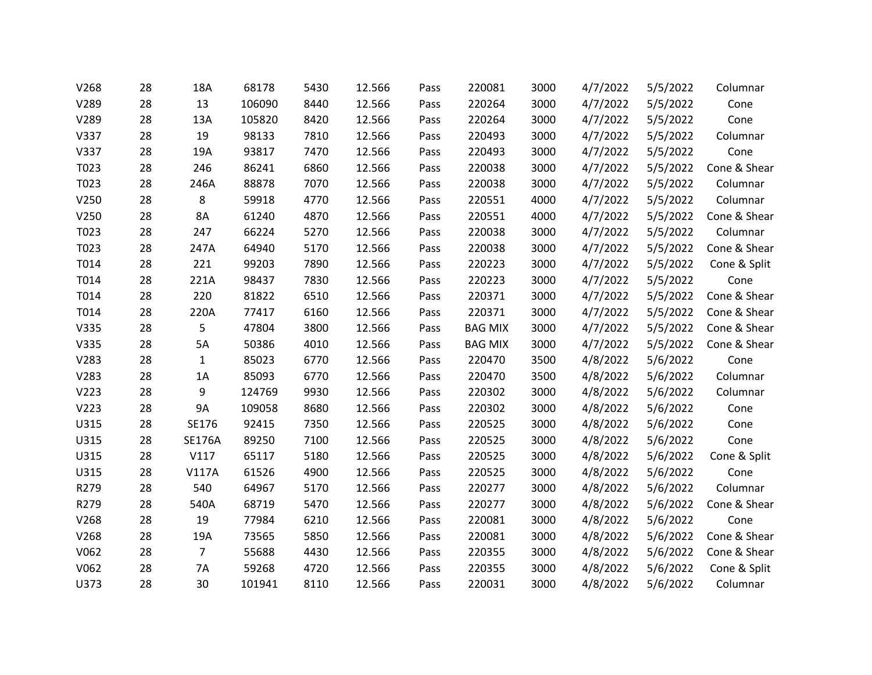| V268 | 28 | 18A            | 68178  | 5430 | 12.566 | Pass | 220081         | 3000 | 4/7/2022 | 5/5/2022 | Columnar     |
|------|----|----------------|--------|------|--------|------|----------------|------|----------|----------|--------------|
| V289 | 28 | 13             | 106090 | 8440 | 12.566 | Pass | 220264         | 3000 | 4/7/2022 | 5/5/2022 | Cone         |
| V289 | 28 | 13A            | 105820 | 8420 | 12.566 | Pass | 220264         | 3000 | 4/7/2022 | 5/5/2022 | Cone         |
| V337 | 28 | 19             | 98133  | 7810 | 12.566 | Pass | 220493         | 3000 | 4/7/2022 | 5/5/2022 | Columnar     |
| V337 | 28 | 19A            | 93817  | 7470 | 12.566 | Pass | 220493         | 3000 | 4/7/2022 | 5/5/2022 | Cone         |
| T023 | 28 | 246            | 86241  | 6860 | 12.566 | Pass | 220038         | 3000 | 4/7/2022 | 5/5/2022 | Cone & Shear |
| T023 | 28 | 246A           | 88878  | 7070 | 12.566 | Pass | 220038         | 3000 | 4/7/2022 | 5/5/2022 | Columnar     |
| V250 | 28 | 8              | 59918  | 4770 | 12.566 | Pass | 220551         | 4000 | 4/7/2022 | 5/5/2022 | Columnar     |
| V250 | 28 | 8A             | 61240  | 4870 | 12.566 | Pass | 220551         | 4000 | 4/7/2022 | 5/5/2022 | Cone & Shear |
| T023 | 28 | 247            | 66224  | 5270 | 12.566 | Pass | 220038         | 3000 | 4/7/2022 | 5/5/2022 | Columnar     |
| T023 | 28 | 247A           | 64940  | 5170 | 12.566 | Pass | 220038         | 3000 | 4/7/2022 | 5/5/2022 | Cone & Shear |
| T014 | 28 | 221            | 99203  | 7890 | 12.566 | Pass | 220223         | 3000 | 4/7/2022 | 5/5/2022 | Cone & Split |
| T014 | 28 | 221A           | 98437  | 7830 | 12.566 | Pass | 220223         | 3000 | 4/7/2022 | 5/5/2022 | Cone         |
| T014 | 28 | 220            | 81822  | 6510 | 12.566 | Pass | 220371         | 3000 | 4/7/2022 | 5/5/2022 | Cone & Shear |
| T014 | 28 | 220A           | 77417  | 6160 | 12.566 | Pass | 220371         | 3000 | 4/7/2022 | 5/5/2022 | Cone & Shear |
| V335 | 28 | 5              | 47804  | 3800 | 12.566 | Pass | <b>BAG MIX</b> | 3000 | 4/7/2022 | 5/5/2022 | Cone & Shear |
| V335 | 28 | 5A             | 50386  | 4010 | 12.566 | Pass | <b>BAG MIX</b> | 3000 | 4/7/2022 | 5/5/2022 | Cone & Shear |
| V283 | 28 | $\mathbf{1}$   | 85023  | 6770 | 12.566 | Pass | 220470         | 3500 | 4/8/2022 | 5/6/2022 | Cone         |
| V283 | 28 | 1A             | 85093  | 6770 | 12.566 | Pass | 220470         | 3500 | 4/8/2022 | 5/6/2022 | Columnar     |
| V223 | 28 | 9              | 124769 | 9930 | 12.566 | Pass | 220302         | 3000 | 4/8/2022 | 5/6/2022 | Columnar     |
| V223 | 28 | 9A             | 109058 | 8680 | 12.566 | Pass | 220302         | 3000 | 4/8/2022 | 5/6/2022 | Cone         |
| U315 | 28 | SE176          | 92415  | 7350 | 12.566 | Pass | 220525         | 3000 | 4/8/2022 | 5/6/2022 | Cone         |
| U315 | 28 | <b>SE176A</b>  | 89250  | 7100 | 12.566 | Pass | 220525         | 3000 | 4/8/2022 | 5/6/2022 | Cone         |
| U315 | 28 | V117           | 65117  | 5180 | 12.566 | Pass | 220525         | 3000 | 4/8/2022 | 5/6/2022 | Cone & Split |
| U315 | 28 | <b>V117A</b>   | 61526  | 4900 | 12.566 | Pass | 220525         | 3000 | 4/8/2022 | 5/6/2022 | Cone         |
| R279 | 28 | 540            | 64967  | 5170 | 12.566 | Pass | 220277         | 3000 | 4/8/2022 | 5/6/2022 | Columnar     |
| R279 | 28 | 540A           | 68719  | 5470 | 12.566 | Pass | 220277         | 3000 | 4/8/2022 | 5/6/2022 | Cone & Shear |
| V268 | 28 | 19             | 77984  | 6210 | 12.566 | Pass | 220081         | 3000 | 4/8/2022 | 5/6/2022 | Cone         |
| V268 | 28 | 19A            | 73565  | 5850 | 12.566 | Pass | 220081         | 3000 | 4/8/2022 | 5/6/2022 | Cone & Shear |
| V062 | 28 | $\overline{7}$ | 55688  | 4430 | 12.566 | Pass | 220355         | 3000 | 4/8/2022 | 5/6/2022 | Cone & Shear |
| V062 | 28 | 7A             | 59268  | 4720 | 12.566 | Pass | 220355         | 3000 | 4/8/2022 | 5/6/2022 | Cone & Split |
| U373 | 28 | 30             | 101941 | 8110 | 12.566 | Pass | 220031         | 3000 | 4/8/2022 | 5/6/2022 | Columnar     |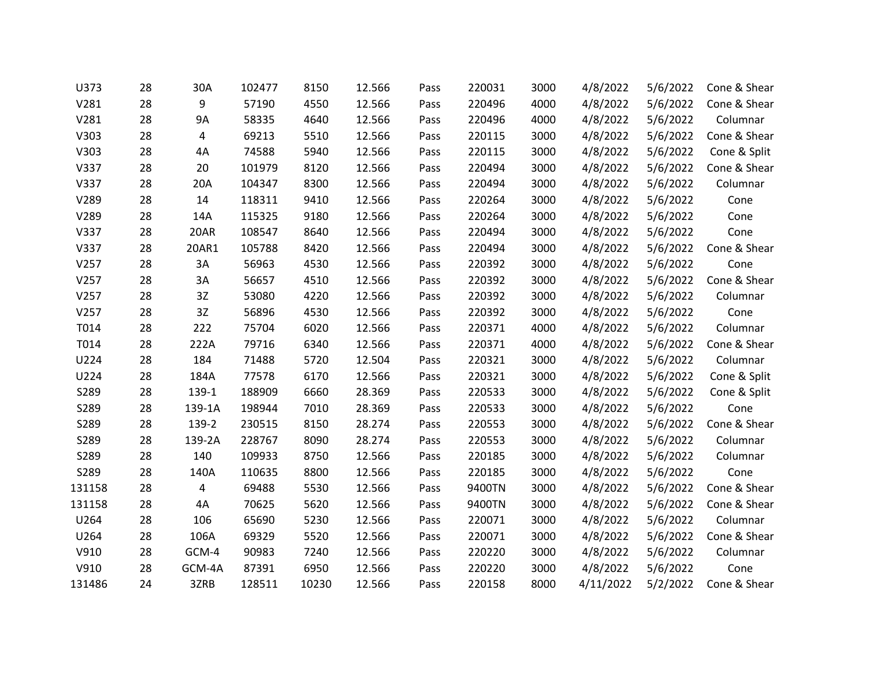| U373   | 28 | 30A       | 102477 | 8150  | 12.566 | Pass | 220031 | 3000 | 4/8/2022  | 5/6/2022 | Cone & Shear |
|--------|----|-----------|--------|-------|--------|------|--------|------|-----------|----------|--------------|
| V281   | 28 | 9         | 57190  | 4550  | 12.566 | Pass | 220496 | 4000 | 4/8/2022  | 5/6/2022 | Cone & Shear |
| V281   | 28 | <b>9A</b> | 58335  | 4640  | 12.566 | Pass | 220496 | 4000 | 4/8/2022  | 5/6/2022 | Columnar     |
| V303   | 28 | 4         | 69213  | 5510  | 12.566 | Pass | 220115 | 3000 | 4/8/2022  | 5/6/2022 | Cone & Shear |
| V303   | 28 | 4A        | 74588  | 5940  | 12.566 | Pass | 220115 | 3000 | 4/8/2022  | 5/6/2022 | Cone & Split |
| V337   | 28 | 20        | 101979 | 8120  | 12.566 | Pass | 220494 | 3000 | 4/8/2022  | 5/6/2022 | Cone & Shear |
| V337   | 28 | 20A       | 104347 | 8300  | 12.566 | Pass | 220494 | 3000 | 4/8/2022  | 5/6/2022 | Columnar     |
| V289   | 28 | 14        | 118311 | 9410  | 12.566 | Pass | 220264 | 3000 | 4/8/2022  | 5/6/2022 | Cone         |
| V289   | 28 | 14A       | 115325 | 9180  | 12.566 | Pass | 220264 | 3000 | 4/8/2022  | 5/6/2022 | Cone         |
| V337   | 28 | 20AR      | 108547 | 8640  | 12.566 | Pass | 220494 | 3000 | 4/8/2022  | 5/6/2022 | Cone         |
| V337   | 28 | 20AR1     | 105788 | 8420  | 12.566 | Pass | 220494 | 3000 | 4/8/2022  | 5/6/2022 | Cone & Shear |
| V257   | 28 | 3A        | 56963  | 4530  | 12.566 | Pass | 220392 | 3000 | 4/8/2022  | 5/6/2022 | Cone         |
| V257   | 28 | 3A        | 56657  | 4510  | 12.566 | Pass | 220392 | 3000 | 4/8/2022  | 5/6/2022 | Cone & Shear |
| V257   | 28 | 3Z        | 53080  | 4220  | 12.566 | Pass | 220392 | 3000 | 4/8/2022  | 5/6/2022 | Columnar     |
| V257   | 28 | 3Z        | 56896  | 4530  | 12.566 | Pass | 220392 | 3000 | 4/8/2022  | 5/6/2022 | Cone         |
| T014   | 28 | 222       | 75704  | 6020  | 12.566 | Pass | 220371 | 4000 | 4/8/2022  | 5/6/2022 | Columnar     |
| T014   | 28 | 222A      | 79716  | 6340  | 12.566 | Pass | 220371 | 4000 | 4/8/2022  | 5/6/2022 | Cone & Shear |
| U224   | 28 | 184       | 71488  | 5720  | 12.504 | Pass | 220321 | 3000 | 4/8/2022  | 5/6/2022 | Columnar     |
| U224   | 28 | 184A      | 77578  | 6170  | 12.566 | Pass | 220321 | 3000 | 4/8/2022  | 5/6/2022 | Cone & Split |
| S289   | 28 | 139-1     | 188909 | 6660  | 28.369 | Pass | 220533 | 3000 | 4/8/2022  | 5/6/2022 | Cone & Split |
| S289   | 28 | 139-1A    | 198944 | 7010  | 28.369 | Pass | 220533 | 3000 | 4/8/2022  | 5/6/2022 | Cone         |
| S289   | 28 | 139-2     | 230515 | 8150  | 28.274 | Pass | 220553 | 3000 | 4/8/2022  | 5/6/2022 | Cone & Shear |
| S289   | 28 | 139-2A    | 228767 | 8090  | 28.274 | Pass | 220553 | 3000 | 4/8/2022  | 5/6/2022 | Columnar     |
| S289   | 28 | 140       | 109933 | 8750  | 12.566 | Pass | 220185 | 3000 | 4/8/2022  | 5/6/2022 | Columnar     |
| S289   | 28 | 140A      | 110635 | 8800  | 12.566 | Pass | 220185 | 3000 | 4/8/2022  | 5/6/2022 | Cone         |
| 131158 | 28 | 4         | 69488  | 5530  | 12.566 | Pass | 9400TN | 3000 | 4/8/2022  | 5/6/2022 | Cone & Shear |
| 131158 | 28 | 4A        | 70625  | 5620  | 12.566 | Pass | 9400TN | 3000 | 4/8/2022  | 5/6/2022 | Cone & Shear |
| U264   | 28 | 106       | 65690  | 5230  | 12.566 | Pass | 220071 | 3000 | 4/8/2022  | 5/6/2022 | Columnar     |
| U264   | 28 | 106A      | 69329  | 5520  | 12.566 | Pass | 220071 | 3000 | 4/8/2022  | 5/6/2022 | Cone & Shear |
| V910   | 28 | GCM-4     | 90983  | 7240  | 12.566 | Pass | 220220 | 3000 | 4/8/2022  | 5/6/2022 | Columnar     |
| V910   | 28 | GCM-4A    | 87391  | 6950  | 12.566 | Pass | 220220 | 3000 | 4/8/2022  | 5/6/2022 | Cone         |
| 131486 | 24 | 3ZRB      | 128511 | 10230 | 12.566 | Pass | 220158 | 8000 | 4/11/2022 | 5/2/2022 | Cone & Shear |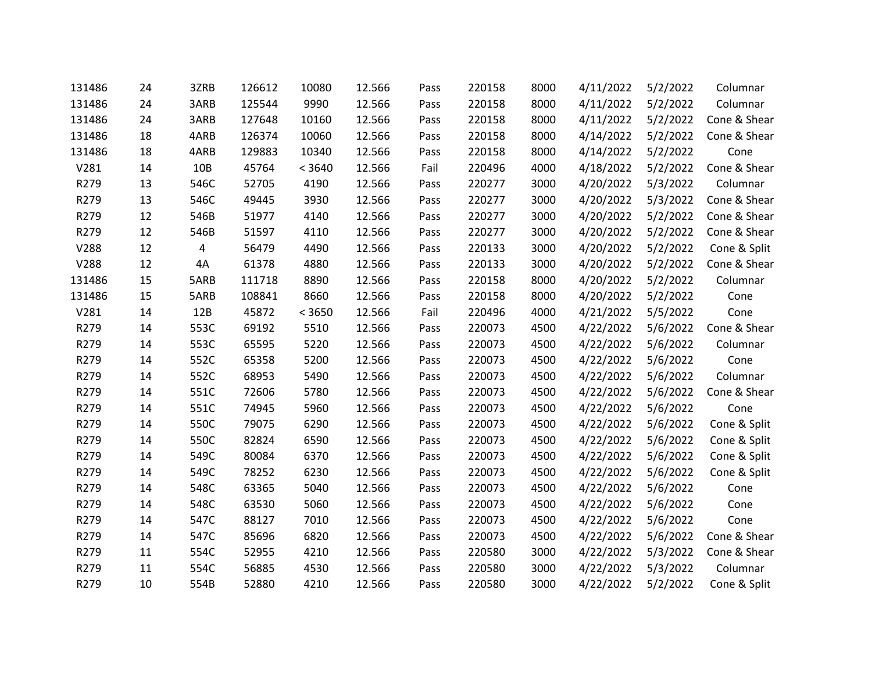| 131486 | 24 | 3ZRB | 126612 | 10080  | 12.566 | Pass | 220158 | 8000 | 4/11/2022 | 5/2/2022 | Columnar     |
|--------|----|------|--------|--------|--------|------|--------|------|-----------|----------|--------------|
| 131486 | 24 | 3ARB | 125544 | 9990   | 12.566 | Pass | 220158 | 8000 | 4/11/2022 | 5/2/2022 | Columnar     |
| 131486 | 24 | 3ARB | 127648 | 10160  | 12.566 | Pass | 220158 | 8000 | 4/11/2022 | 5/2/2022 | Cone & Shear |
| 131486 | 18 | 4ARB | 126374 | 10060  | 12.566 | Pass | 220158 | 8000 | 4/14/2022 | 5/2/2022 | Cone & Shear |
| 131486 | 18 | 4ARB | 129883 | 10340  | 12.566 | Pass | 220158 | 8000 | 4/14/2022 | 5/2/2022 | Cone         |
| V281   | 14 | 10B  | 45764  | < 3640 | 12.566 | Fail | 220496 | 4000 | 4/18/2022 | 5/2/2022 | Cone & Shear |
| R279   | 13 | 546C | 52705  | 4190   | 12.566 | Pass | 220277 | 3000 | 4/20/2022 | 5/3/2022 | Columnar     |
| R279   | 13 | 546C | 49445  | 3930   | 12.566 | Pass | 220277 | 3000 | 4/20/2022 | 5/3/2022 | Cone & Shear |
| R279   | 12 | 546B | 51977  | 4140   | 12.566 | Pass | 220277 | 3000 | 4/20/2022 | 5/2/2022 | Cone & Shear |
| R279   | 12 | 546B | 51597  | 4110   | 12.566 | Pass | 220277 | 3000 | 4/20/2022 | 5/2/2022 | Cone & Shear |
| V288   | 12 | 4    | 56479  | 4490   | 12.566 | Pass | 220133 | 3000 | 4/20/2022 | 5/2/2022 | Cone & Split |
| V288   | 12 | 4A   | 61378  | 4880   | 12.566 | Pass | 220133 | 3000 | 4/20/2022 | 5/2/2022 | Cone & Shear |
| 131486 | 15 | 5ARB | 111718 | 8890   | 12.566 | Pass | 220158 | 8000 | 4/20/2022 | 5/2/2022 | Columnar     |
| 131486 | 15 | 5ARB | 108841 | 8660   | 12.566 | Pass | 220158 | 8000 | 4/20/2022 | 5/2/2022 | Cone         |
| V281   | 14 | 12B  | 45872  | < 3650 | 12.566 | Fail | 220496 | 4000 | 4/21/2022 | 5/5/2022 | Cone         |
| R279   | 14 | 553C | 69192  | 5510   | 12.566 | Pass | 220073 | 4500 | 4/22/2022 | 5/6/2022 | Cone & Shear |
| R279   | 14 | 553C | 65595  | 5220   | 12.566 | Pass | 220073 | 4500 | 4/22/2022 | 5/6/2022 | Columnar     |
| R279   | 14 | 552C | 65358  | 5200   | 12.566 | Pass | 220073 | 4500 | 4/22/2022 | 5/6/2022 | Cone         |
| R279   | 14 | 552C | 68953  | 5490   | 12.566 | Pass | 220073 | 4500 | 4/22/2022 | 5/6/2022 | Columnar     |
| R279   | 14 | 551C | 72606  | 5780   | 12.566 | Pass | 220073 | 4500 | 4/22/2022 | 5/6/2022 | Cone & Shear |
| R279   | 14 | 551C | 74945  | 5960   | 12.566 | Pass | 220073 | 4500 | 4/22/2022 | 5/6/2022 | Cone         |
| R279   | 14 | 550C | 79075  | 6290   | 12.566 | Pass | 220073 | 4500 | 4/22/2022 | 5/6/2022 | Cone & Split |
| R279   | 14 | 550C | 82824  | 6590   | 12.566 | Pass | 220073 | 4500 | 4/22/2022 | 5/6/2022 | Cone & Split |
| R279   | 14 | 549C | 80084  | 6370   | 12.566 | Pass | 220073 | 4500 | 4/22/2022 | 5/6/2022 | Cone & Split |
| R279   | 14 | 549C | 78252  | 6230   | 12.566 | Pass | 220073 | 4500 | 4/22/2022 | 5/6/2022 | Cone & Split |
| R279   | 14 | 548C | 63365  | 5040   | 12.566 | Pass | 220073 | 4500 | 4/22/2022 | 5/6/2022 | Cone         |
| R279   | 14 | 548C | 63530  | 5060   | 12.566 | Pass | 220073 | 4500 | 4/22/2022 | 5/6/2022 | Cone         |
| R279   | 14 | 547C | 88127  | 7010   | 12.566 | Pass | 220073 | 4500 | 4/22/2022 | 5/6/2022 | Cone         |
| R279   | 14 | 547C | 85696  | 6820   | 12.566 | Pass | 220073 | 4500 | 4/22/2022 | 5/6/2022 | Cone & Shear |
| R279   | 11 | 554C | 52955  | 4210   | 12.566 | Pass | 220580 | 3000 | 4/22/2022 | 5/3/2022 | Cone & Shear |
| R279   | 11 | 554C | 56885  | 4530   | 12.566 | Pass | 220580 | 3000 | 4/22/2022 | 5/3/2022 | Columnar     |
| R279   | 10 | 554B | 52880  | 4210   | 12.566 | Pass | 220580 | 3000 | 4/22/2022 | 5/2/2022 | Cone & Split |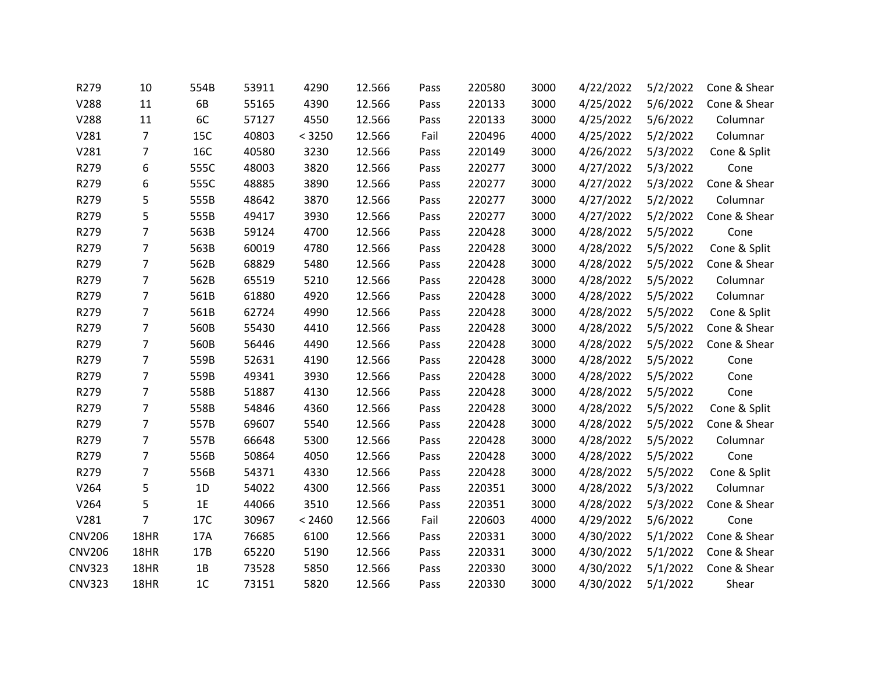| R279          | 10             | 554B           | 53911 | 4290   | 12.566 | Pass | 220580 | 3000 | 4/22/2022 | 5/2/2022 | Cone & Shear |
|---------------|----------------|----------------|-------|--------|--------|------|--------|------|-----------|----------|--------------|
| V288          | 11             | 6B             | 55165 | 4390   | 12.566 | Pass | 220133 | 3000 | 4/25/2022 | 5/6/2022 | Cone & Shear |
| V288          | 11             | 6C             | 57127 | 4550   | 12.566 | Pass | 220133 | 3000 | 4/25/2022 | 5/6/2022 | Columnar     |
| V281          | 7              | 15C            | 40803 | < 3250 | 12.566 | Fail | 220496 | 4000 | 4/25/2022 | 5/2/2022 | Columnar     |
| V281          | 7              | 16C            | 40580 | 3230   | 12.566 | Pass | 220149 | 3000 | 4/26/2022 | 5/3/2022 | Cone & Split |
| R279          | 6              | 555C           | 48003 | 3820   | 12.566 | Pass | 220277 | 3000 | 4/27/2022 | 5/3/2022 | Cone         |
| R279          | 6              | 555C           | 48885 | 3890   | 12.566 | Pass | 220277 | 3000 | 4/27/2022 | 5/3/2022 | Cone & Shear |
| R279          | 5              | 555B           | 48642 | 3870   | 12.566 | Pass | 220277 | 3000 | 4/27/2022 | 5/2/2022 | Columnar     |
| R279          | 5              | 555B           | 49417 | 3930   | 12.566 | Pass | 220277 | 3000 | 4/27/2022 | 5/2/2022 | Cone & Shear |
| R279          | $\overline{7}$ | 563B           | 59124 | 4700   | 12.566 | Pass | 220428 | 3000 | 4/28/2022 | 5/5/2022 | Cone         |
| R279          | 7              | 563B           | 60019 | 4780   | 12.566 | Pass | 220428 | 3000 | 4/28/2022 | 5/5/2022 | Cone & Split |
| R279          | 7              | 562B           | 68829 | 5480   | 12.566 | Pass | 220428 | 3000 | 4/28/2022 | 5/5/2022 | Cone & Shear |
| R279          | $\overline{7}$ | 562B           | 65519 | 5210   | 12.566 | Pass | 220428 | 3000 | 4/28/2022 | 5/5/2022 | Columnar     |
| R279          | $\overline{7}$ | 561B           | 61880 | 4920   | 12.566 | Pass | 220428 | 3000 | 4/28/2022 | 5/5/2022 | Columnar     |
| R279          | 7              | 561B           | 62724 | 4990   | 12.566 | Pass | 220428 | 3000 | 4/28/2022 | 5/5/2022 | Cone & Split |
| R279          | $\overline{7}$ | 560B           | 55430 | 4410   | 12.566 | Pass | 220428 | 3000 | 4/28/2022 | 5/5/2022 | Cone & Shear |
| R279          | $\overline{7}$ | 560B           | 56446 | 4490   | 12.566 | Pass | 220428 | 3000 | 4/28/2022 | 5/5/2022 | Cone & Shear |
| R279          | 7              | 559B           | 52631 | 4190   | 12.566 | Pass | 220428 | 3000 | 4/28/2022 | 5/5/2022 | Cone         |
| R279          | 7              | 559B           | 49341 | 3930   | 12.566 | Pass | 220428 | 3000 | 4/28/2022 | 5/5/2022 | Cone         |
| R279          | $\overline{7}$ | 558B           | 51887 | 4130   | 12.566 | Pass | 220428 | 3000 | 4/28/2022 | 5/5/2022 | Cone         |
| R279          | $\overline{7}$ | 558B           | 54846 | 4360   | 12.566 | Pass | 220428 | 3000 | 4/28/2022 | 5/5/2022 | Cone & Split |
| R279          | 7              | 557B           | 69607 | 5540   | 12.566 | Pass | 220428 | 3000 | 4/28/2022 | 5/5/2022 | Cone & Shear |
| R279          | 7              | 557B           | 66648 | 5300   | 12.566 | Pass | 220428 | 3000 | 4/28/2022 | 5/5/2022 | Columnar     |
| R279          | 7              | 556B           | 50864 | 4050   | 12.566 | Pass | 220428 | 3000 | 4/28/2022 | 5/5/2022 | Cone         |
| R279          | 7              | 556B           | 54371 | 4330   | 12.566 | Pass | 220428 | 3000 | 4/28/2022 | 5/5/2022 | Cone & Split |
| V264          | 5              | 1D             | 54022 | 4300   | 12.566 | Pass | 220351 | 3000 | 4/28/2022 | 5/3/2022 | Columnar     |
| V264          | 5              | 1E             | 44066 | 3510   | 12.566 | Pass | 220351 | 3000 | 4/28/2022 | 5/3/2022 | Cone & Shear |
| V281          | $\overline{7}$ | 17C            | 30967 | < 2460 | 12.566 | Fail | 220603 | 4000 | 4/29/2022 | 5/6/2022 | Cone         |
| <b>CNV206</b> | 18HR           | 17A            | 76685 | 6100   | 12.566 | Pass | 220331 | 3000 | 4/30/2022 | 5/1/2022 | Cone & Shear |
| <b>CNV206</b> | 18HR           | 17B            | 65220 | 5190   | 12.566 | Pass | 220331 | 3000 | 4/30/2022 | 5/1/2022 | Cone & Shear |
| <b>CNV323</b> | 18HR           | 1B             | 73528 | 5850   | 12.566 | Pass | 220330 | 3000 | 4/30/2022 | 5/1/2022 | Cone & Shear |
| <b>CNV323</b> | 18HR           | 1 <sup>C</sup> | 73151 | 5820   | 12.566 | Pass | 220330 | 3000 | 4/30/2022 | 5/1/2022 | Shear        |